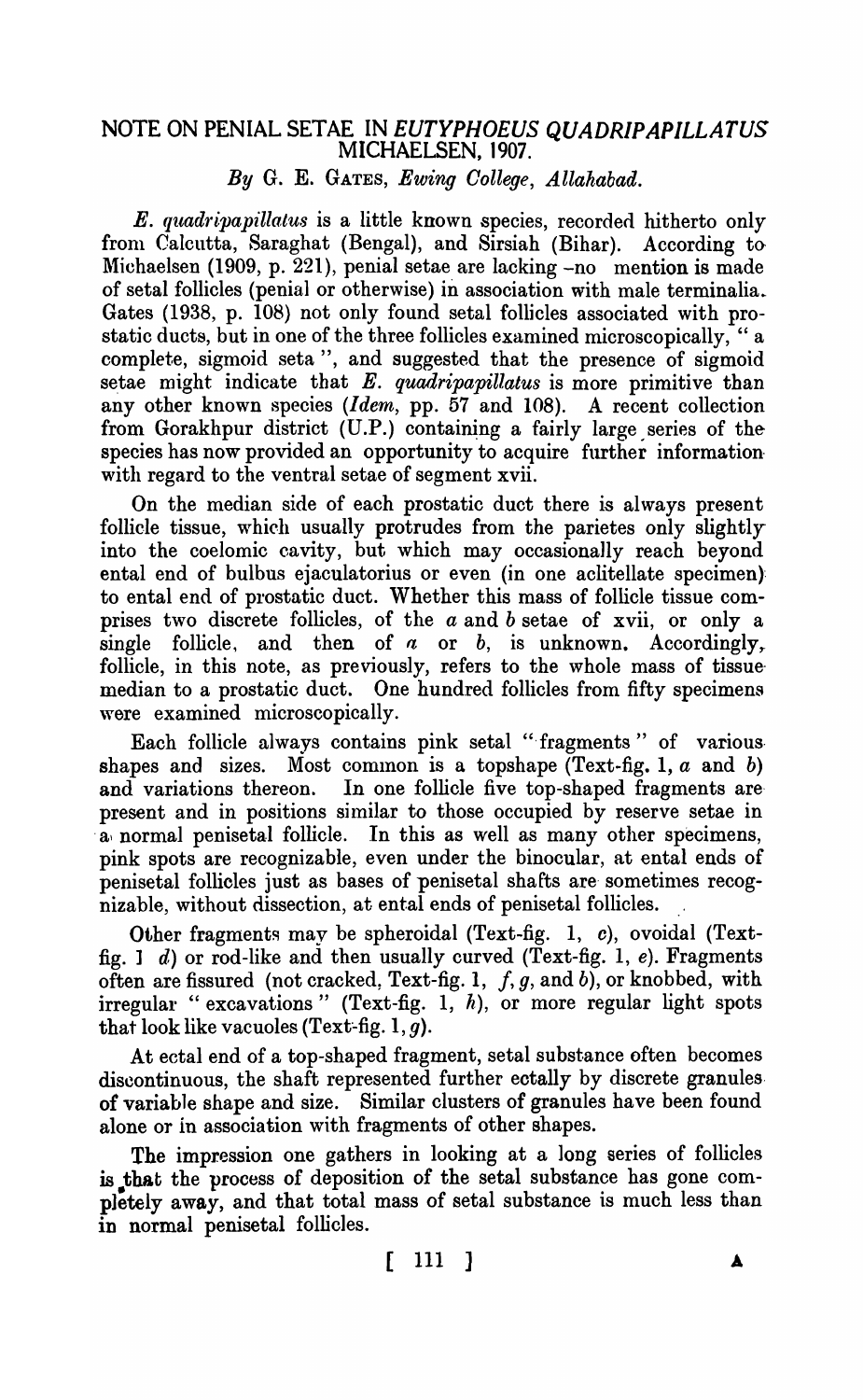## NOTE ON PENIAL SETAE IN *EUTYPHOEUS QUADRIPAPILLATUS* MICHAELSEN, 1907.

*By* G. E. GATES, *Ewing Oollege, Allahabad.* 

*E. quadripapillatus* is a little known species, recorded hitherto only from Calcutta, Saraghat (Bengal), and Sirsiah (Bihar). According to Michaelsen (1909, p. 221), penial setae are lacking -no mention is made of setal follicles (penial or otherwise) in association with male terminalia. Gates (1938, p. 108) not only found setal follicles associated with prostatic ducts, but in one of the three follicles examined microscopically, " a complete, sigmoid seta", and suggested that the presence of sigmoid setae might indicate that E. *quadripapillatus* is more primitive than any other known species *(Idem,* pp. 57 and 108). A recent collection from Gorakhpur district  $(U.P.)$  containing a fairly large series of the species has now provided an opportunity to acquire further information with regard to the ventral setae of segment xvii.

On the median side of each prostatic duct there is always present follicle tissue, which usually protrudes from the parietes only slightly into the coelomic cavity, but which may occasionally reach beyond ental end of bulbus ejaculatorius or even (in one aclitellate specimen): to ental end of prostatic duct. Whether this mass of follicle tissue comprises two discrete follicles, of the *a* and *b* setae of xvii, or only a single follicle, and then of  $a$  or  $b$ , is unknown. Accordingly, follicle, in this note, as previously, refers to the whole mass of tissuemedian to a prostatic duct. One hundred follicles from fifty specimens were examined microscopically.

Each follicle always contains pink setal "fragments" of variousshapes and sizes. Most common is a topshape  $(Text-fig, 1, a \text{ and } b)$ and variations thereon. In one follicle five top-shaped fragments are present and in positions similar to those occupied by reserve setae in a normal penisetal follicle. In this as well as many other specimens, pink spots are recognizable, even under the binocular, at ental ends of penisetal follicles just as bases of penisetal shafts are sometimes recognizable, without dissection, at ental ends of penisetal follicles.

Other fragments may be spheroidal (Text-fig. 1, c), ovoidal (Textfig. 1 d) or rod-like and then usually curved (Text-fig. 1,  $e$ ). Fragments often are fissured (not cracked, Text-fig. 1, f, g, and b), or knobbed, with irregular "excavations" (Text-fig. 1,  $h$ ), or more regular light spots that look like vacuoles (Text-fig.  $1, g$ ).

At ectal end of a top-shaped fragment, setal substance often becomes discontinuous, the shaft represented further ectally by discrete granules. of variable shape and size. Similar clusters of granules have been found alone or in association with fragments of other shapes.

The impression one gathers in looking at a long series of follicles is that the process of deposition of the setal substance has gone completely away, and that total mass of setal substance is much less than in normal penisetal follicles.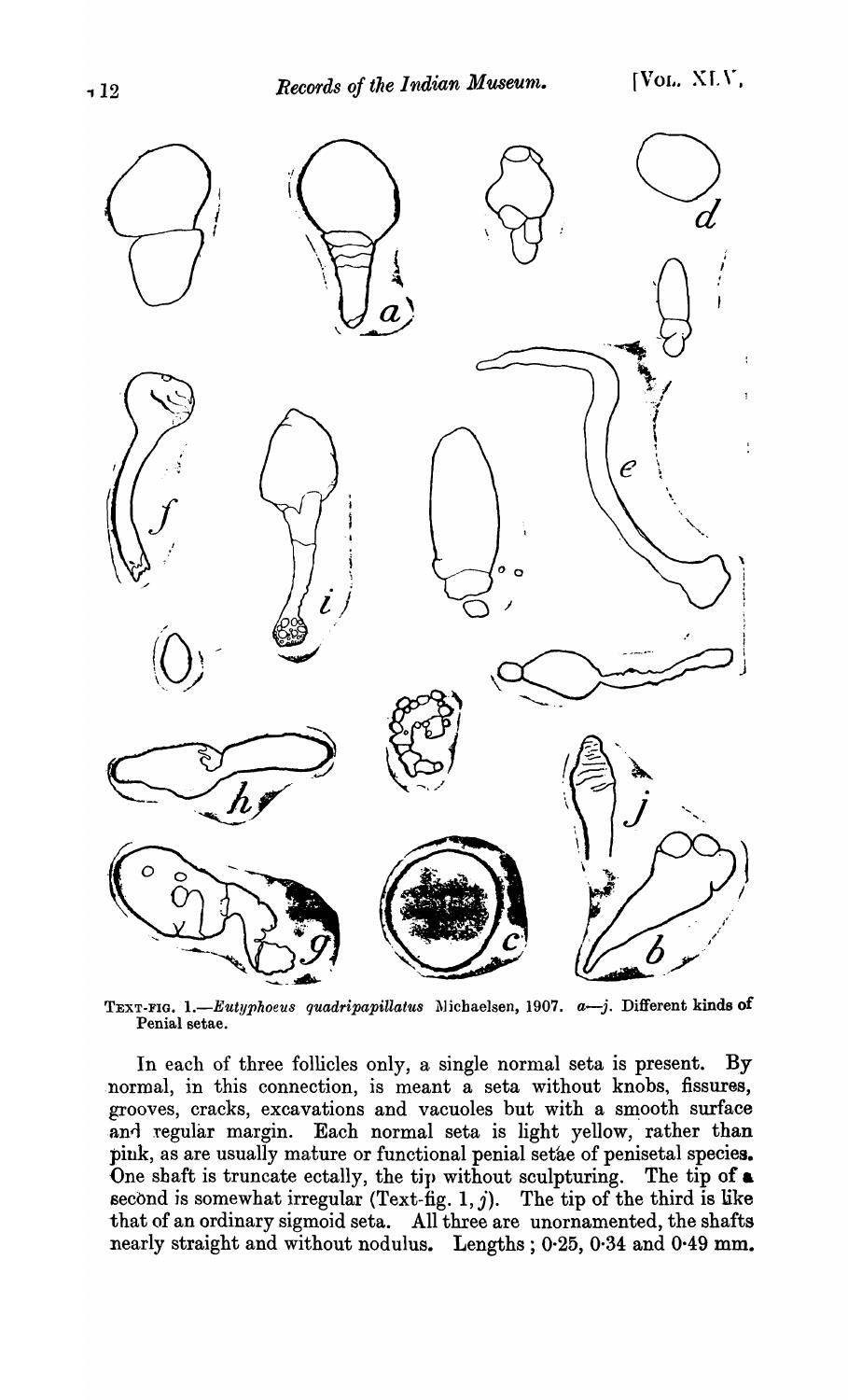

TEXT-FIG. 1.-Eutyphoeus quadripapillatus Michaelsen, 1907. *a*-j. Different kinds of Penial setae.

In each of three follicles only, a single normal seta is present. By normal, in this connection, is meant a seta without knobs, fissures, grooves, cracks, excavations and vacuoles but with a smooth surface and regular margin. Each normal seta is light yellow, rather than pink, as are usually mature or functional penial setae of penisetal species. One shaft is truncate ectally, the tip without sculpturing. The tip of a second is somewhat irregular (Text-fig. 1, j). The tip of the third is like that of an ordinary sigmoid seta. All three are unornamented, the shafts nearly straight and without nodulus. Lengths; 0.25, 0.34 and 0.49 mm.